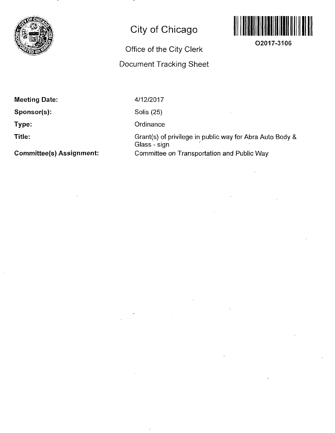

# **City of Chicago**

## Office of the City Clerk

### Document Tracking Sheet



**O2017-3106** 

**Meeting Date:** 

**Sponsor(s):** 

**Type:** 

**Title:** 

**Committee(s) Assignment:** 

4/12/2017

Solis (25)

**Ordinance** 

Grant(s) of privilege in public way for Abra Auto Body & Glass - sign Committee on Transportation and Public Way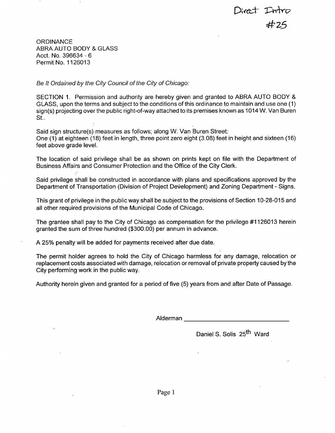Direct Intro<br>#25

**ORDINANCE** ABRA AUTO BODY & GLASS Acct. No. 396634 - 6 Permit No. 1126013

*Se It Ordained by the City Council of the City of Chicago:* 

SECTION 1. Permission and authority are hereby given and granted to ABRA AUTO BODY & GLASS, upon the terms and subject to the conditions of this ordinance to maintain and use one (1) sign(s) projecting over the public right-of-way attached to its premises known as 1014 W. Van Buren St.

Said sign structure(s) measures as follows; along W. Van Buren Street: One (1) at eighteen (18) feet in length, three point zero eight (3.08) feet in height and sixteen (16) feet above grade level.

The location of said privilege shall be as shown on prints kept on file with the Department of Business Affairs and Consumer Protection and the Office of the City Clerk.

Said privilege shall be constructed in accordance with plans and specifications approved by the Department of Transportation (Division of Project Development) and Zoning Department - Signs.

This grant of privilege in the public way shall be subject to the provisions of Section 10-28-015 and all other required provisions of the Municipal Code of Chicago.

The grantee shall pay to the City of Chicago as compensation forthe privilege #1126013 herein granted the sum of three hundred (\$300.00) per annum in advance.

A 25% penalty will be added for payments received after due date.

The permit holder agrees to hold the City of Chicago harmless for any damage, relocation or replacement costs associated with damage, relocation or removal of private property caused bythe City performing work in the public way.

Authority herein given and granted for a period of five (5) years from and after Date of Passage.

Alderman

Daniel S. Solis 25<sup>th</sup> Ward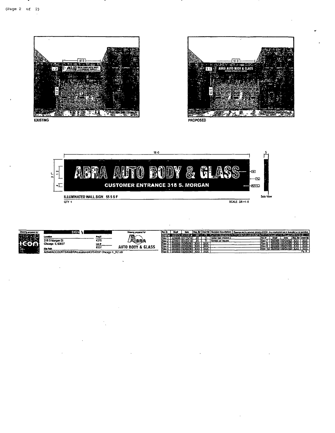

**EXISTING** 



PROPOSED



| Drawing presented by |                                                               | SIGN              | Drawing prepared for         | <b>Review</b>  |        |                        |                 |            |                                            | Reg. By: Dram By:   Revision Description:   Dawnas are the expused scorety of CCN Any snautratione or dustration a ret pomeral. |            |                                   |             |                       |
|----------------------|---------------------------------------------------------------|-------------------|------------------------------|----------------|--------|------------------------|-----------------|------------|--------------------------------------------|---------------------------------------------------------------------------------------------------------------------------------|------------|-----------------------------------|-------------|-----------------------|
| 陳来                   | academ                                                        | Prof <sup>2</sup> | $\mathbb{R}^-$               |                |        |                        |                 |            |                                            | One of the fourth in the control of the control of the control of the control of the control of the control of                  |            |                                   |             |                       |
|                      | 316 S Moroan St                                               | 4370              | 人名日本                         | Rev 1<br>Rav 7 | 172502 | 101/15/161             |                 |            | Added Sam 1/Orden 2<br>Revered the request |                                                                                                                                 | <b>Roy</b> | <b>Dags</b>                       | <b>Data</b> | i Reg. by I Dam I     |
|                      | Chicago (l. 60607                                             | Les (             |                              |                |        | ) 100/00/001 XXX I XXX |                 |            |                                            |                                                                                                                                 |            |                                   | Foorgoroof  | <del>-938   938</del> |
| <b>SEPTEMBER</b>     |                                                               | 6337              | <b>AUTO BODY &amp; GLASS</b> | 'Rev           |        | [ 000000 100/00/00]    | <b>XXX LXXX</b> |            |                                            |                                                                                                                                 |            | IRev. 9   00000.                  | 00/00       | LXXX.                 |
|                      | FL Fak                                                        |                   |                              | Rev 6          |        |                        | <b>xxx</b>      | <b>XXX</b> |                                            |                                                                                                                                 |            | v 101 000000 100/00/001 XXX 1 XXX |             |                       |
|                      | Active\ACCOLINTS\A\ABRA\Locations\4370-6337 Chicago IL R2 cdr |                   |                              |                |        | 000000 0000000 XXX XXX |                 |            |                                            |                                                                                                                                 |            |                                   |             |                       |